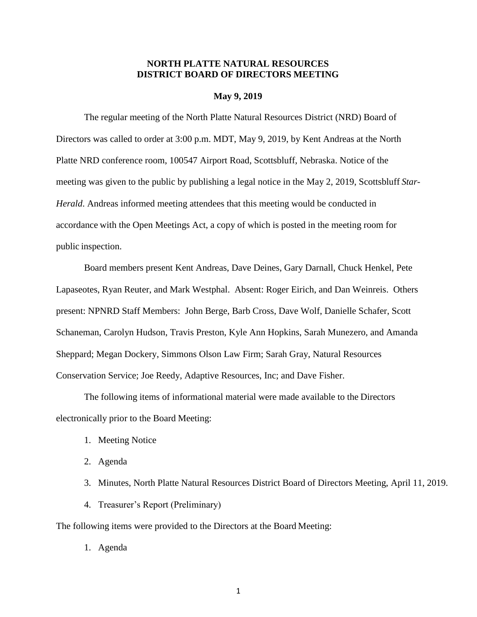# **NORTH PLATTE NATURAL RESOURCES DISTRICT BOARD OF DIRECTORS MEETING**

#### **May 9, 2019**

The regular meeting of the North Platte Natural Resources District (NRD) Board of Directors was called to order at 3:00 p.m. MDT, May 9, 2019, by Kent Andreas at the North Platte NRD conference room, 100547 Airport Road, Scottsbluff, Nebraska. Notice of the meeting was given to the public by publishing a legal notice in the May 2, 2019, Scottsbluff *Star-Herald*. Andreas informed meeting attendees that this meeting would be conducted in accordance with the Open Meetings Act, a copy of which is posted in the meeting room for public inspection.

Board members present Kent Andreas, Dave Deines, Gary Darnall, Chuck Henkel, Pete Lapaseotes, Ryan Reuter, and Mark Westphal. Absent: Roger Eirich, and Dan Weinreis. Others present: NPNRD Staff Members: John Berge, Barb Cross, Dave Wolf, Danielle Schafer, Scott Schaneman, Carolyn Hudson, Travis Preston, Kyle Ann Hopkins, Sarah Munezero, and Amanda Sheppard; Megan Dockery, Simmons Olson Law Firm; Sarah Gray, Natural Resources Conservation Service; Joe Reedy, Adaptive Resources, Inc; and Dave Fisher.

The following items of informational material were made available to the Directors electronically prior to the Board Meeting:

- 1. Meeting Notice
- 2. Agenda
- 3. Minutes, North Platte Natural Resources District Board of Directors Meeting, April 11, 2019.
- 4. Treasurer's Report (Preliminary)

The following items were provided to the Directors at the Board Meeting:

1. Agenda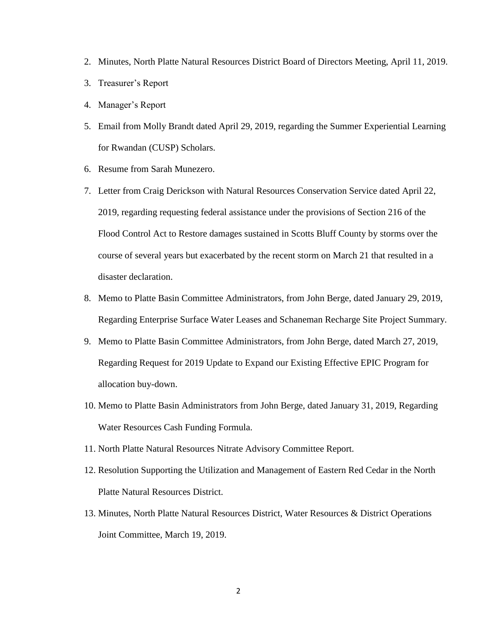- 2. Minutes, North Platte Natural Resources District Board of Directors Meeting, April 11, 2019.
- 3. Treasurer's Report
- 4. Manager's Report
- 5. Email from Molly Brandt dated April 29, 2019, regarding the Summer Experiential Learning for Rwandan (CUSP) Scholars.
- 6. Resume from Sarah Munezero.
- 7. Letter from Craig Derickson with Natural Resources Conservation Service dated April 22, 2019, regarding requesting federal assistance under the provisions of Section 216 of the Flood Control Act to Restore damages sustained in Scotts Bluff County by storms over the course of several years but exacerbated by the recent storm on March 21 that resulted in a disaster declaration.
- 8. Memo to Platte Basin Committee Administrators, from John Berge, dated January 29, 2019, Regarding Enterprise Surface Water Leases and Schaneman Recharge Site Project Summary.
- 9. Memo to Platte Basin Committee Administrators, from John Berge, dated March 27, 2019, Regarding Request for 2019 Update to Expand our Existing Effective EPIC Program for allocation buy-down.
- 10. Memo to Platte Basin Administrators from John Berge, dated January 31, 2019, Regarding Water Resources Cash Funding Formula.
- 11. North Platte Natural Resources Nitrate Advisory Committee Report.
- 12. Resolution Supporting the Utilization and Management of Eastern Red Cedar in the North Platte Natural Resources District.
- 13. Minutes, North Platte Natural Resources District, Water Resources & District Operations Joint Committee, March 19, 2019.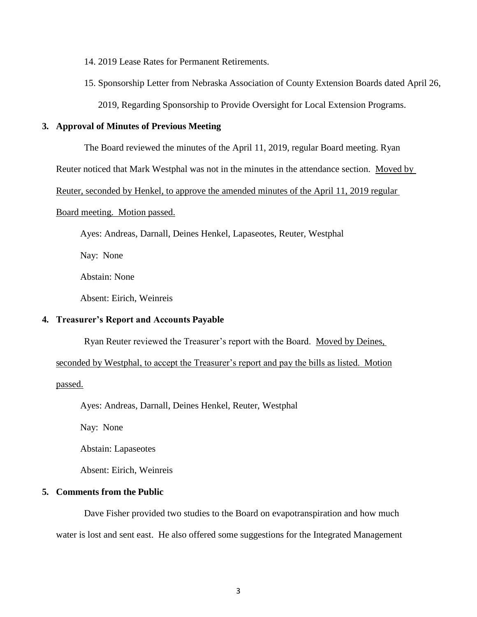- 14. 2019 Lease Rates for Permanent Retirements.
- 15. Sponsorship Letter from Nebraska Association of County Extension Boards dated April 26,

2019, Regarding Sponsorship to Provide Oversight for Local Extension Programs.

# **3. Approval of Minutes of Previous Meeting**

The Board reviewed the minutes of the April 11, 2019, regular Board meeting. Ryan

Reuter noticed that Mark Westphal was not in the minutes in the attendance section. Moved by

Reuter, seconded by Henkel, to approve the amended minutes of the April 11, 2019 regular

#### Board meeting. Motion passed.

Ayes: Andreas, Darnall, Deines Henkel, Lapaseotes, Reuter, Westphal

Nay: None

Abstain: None

Absent: Eirich, Weinreis

#### **4. Treasurer's Report and Accounts Payable**

Ryan Reuter reviewed the Treasurer's report with the Board. Moved by Deines,

seconded by Westphal, to accept the Treasurer's report and pay the bills as listed. Motion

passed.

Ayes: Andreas, Darnall, Deines Henkel, Reuter, Westphal

Nay: None

Abstain: Lapaseotes

Absent: Eirich, Weinreis

## **5. Comments from the Public**

Dave Fisher provided two studies to the Board on evapotranspiration and how much water is lost and sent east. He also offered some suggestions for the Integrated Management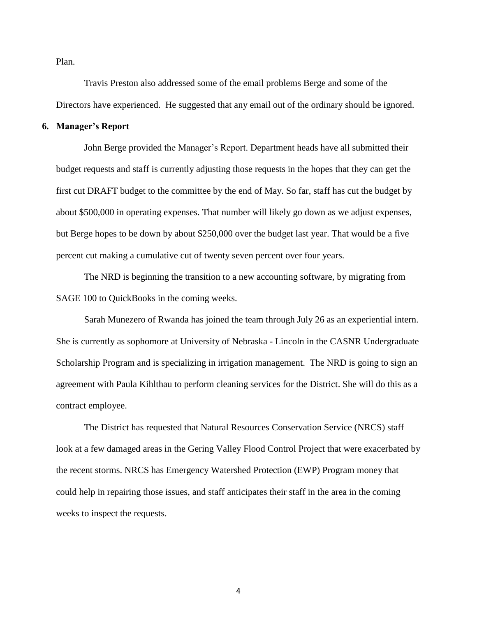Plan.

Travis Preston also addressed some of the email problems Berge and some of the Directors have experienced. He suggested that any email out of the ordinary should be ignored.

### **6. Manager's Report**

John Berge provided the Manager's Report. Department heads have all submitted their budget requests and staff is currently adjusting those requests in the hopes that they can get the first cut DRAFT budget to the committee by the end of May. So far, staff has cut the budget by about \$500,000 in operating expenses. That number will likely go down as we adjust expenses, but Berge hopes to be down by about \$250,000 over the budget last year. That would be a five percent cut making a cumulative cut of twenty seven percent over four years.

The NRD is beginning the transition to a new accounting software, by migrating from SAGE 100 to QuickBooks in the coming weeks.

Sarah Munezero of Rwanda has joined the team through July 26 as an experiential intern. She is currently as sophomore at University of Nebraska - Lincoln in the CASNR Undergraduate Scholarship Program and is specializing in irrigation management. The NRD is going to sign an agreement with Paula Kihlthau to perform cleaning services for the District. She will do this as a contract employee.

The District has requested that Natural Resources Conservation Service (NRCS) staff look at a few damaged areas in the Gering Valley Flood Control Project that were exacerbated by the recent storms. NRCS has Emergency Watershed Protection (EWP) Program money that could help in repairing those issues, and staff anticipates their staff in the area in the coming weeks to inspect the requests.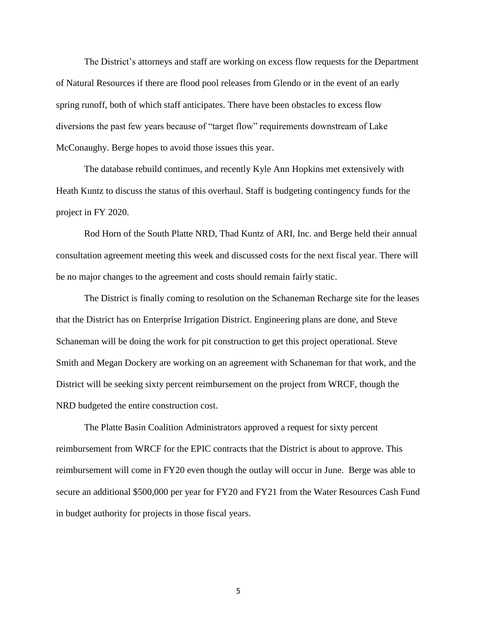The District's attorneys and staff are working on excess flow requests for the Department of Natural Resources if there are flood pool releases from Glendo or in the event of an early spring runoff, both of which staff anticipates. There have been obstacles to excess flow diversions the past few years because of "target flow" requirements downstream of Lake McConaughy. Berge hopes to avoid those issues this year.

The database rebuild continues, and recently Kyle Ann Hopkins met extensively with Heath Kuntz to discuss the status of this overhaul. Staff is budgeting contingency funds for the project in FY 2020.

Rod Horn of the South Platte NRD, Thad Kuntz of ARI, Inc. and Berge held their annual consultation agreement meeting this week and discussed costs for the next fiscal year. There will be no major changes to the agreement and costs should remain fairly static.

The District is finally coming to resolution on the Schaneman Recharge site for the leases that the District has on Enterprise Irrigation District. Engineering plans are done, and Steve Schaneman will be doing the work for pit construction to get this project operational. Steve Smith and Megan Dockery are working on an agreement with Schaneman for that work, and the District will be seeking sixty percent reimbursement on the project from WRCF, though the NRD budgeted the entire construction cost.

The Platte Basin Coalition Administrators approved a request for sixty percent reimbursement from WRCF for the EPIC contracts that the District is about to approve. This reimbursement will come in FY20 even though the outlay will occur in June. Berge was able to secure an additional \$500,000 per year for FY20 and FY21 from the Water Resources Cash Fund in budget authority for projects in those fiscal years.

5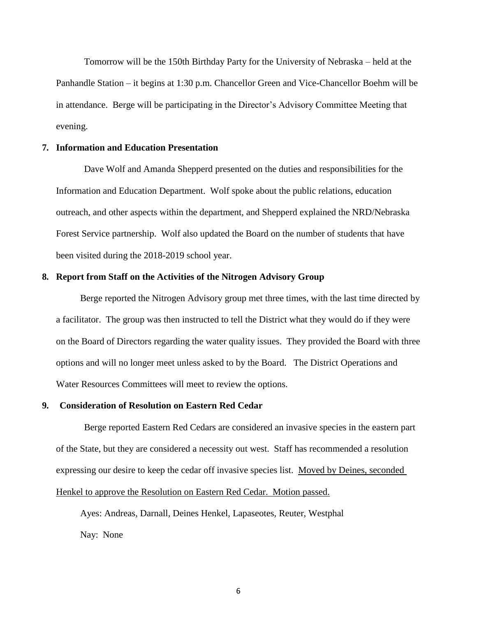Tomorrow will be the 150th Birthday Party for the University of Nebraska – held at the Panhandle Station – it begins at 1:30 p.m. Chancellor Green and Vice-Chancellor Boehm will be in attendance. Berge will be participating in the Director's Advisory Committee Meeting that evening.

### **7. Information and Education Presentation**

Dave Wolf and Amanda Shepperd presented on the duties and responsibilities for the Information and Education Department. Wolf spoke about the public relations, education outreach, and other aspects within the department, and Shepperd explained the NRD/Nebraska Forest Service partnership. Wolf also updated the Board on the number of students that have been visited during the 2018-2019 school year.

#### **8. Report from Staff on the Activities of the Nitrogen Advisory Group**

Berge reported the Nitrogen Advisory group met three times, with the last time directed by a facilitator. The group was then instructed to tell the District what they would do if they were on the Board of Directors regarding the water quality issues. They provided the Board with three options and will no longer meet unless asked to by the Board. The District Operations and Water Resources Committees will meet to review the options.

#### **9. Consideration of Resolution on Eastern Red Cedar**

Berge reported Eastern Red Cedars are considered an invasive species in the eastern part of the State, but they are considered a necessity out west. Staff has recommended a resolution expressing our desire to keep the cedar off invasive species list. Moved by Deines, seconded Henkel to approve the Resolution on Eastern Red Cedar. Motion passed.

Ayes: Andreas, Darnall, Deines Henkel, Lapaseotes, Reuter, Westphal Nay: None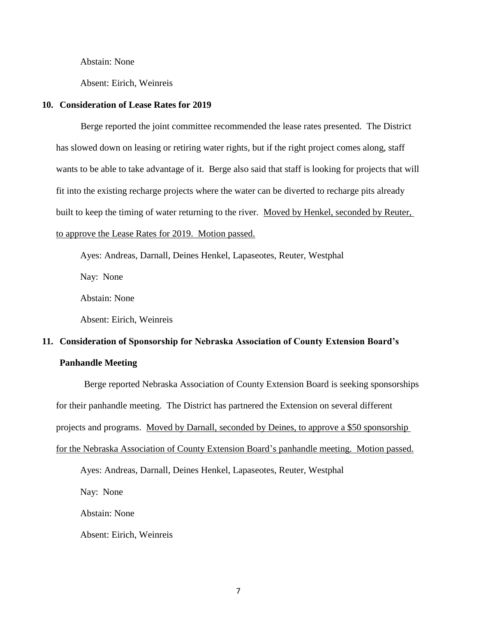Abstain: None

Absent: Eirich, Weinreis

#### **10. Consideration of Lease Rates for 2019**

Berge reported the joint committee recommended the lease rates presented. The District has slowed down on leasing or retiring water rights, but if the right project comes along, staff wants to be able to take advantage of it. Berge also said that staff is looking for projects that will fit into the existing recharge projects where the water can be diverted to recharge pits already built to keep the timing of water returning to the river. Moved by Henkel, seconded by Reuter, to approve the Lease Rates for 2019. Motion passed.

Ayes: Andreas, Darnall, Deines Henkel, Lapaseotes, Reuter, Westphal

Nay: None

Abstain: None

Absent: Eirich, Weinreis

# **11. Consideration of Sponsorship for Nebraska Association of County Extension Board's Panhandle Meeting**

Berge reported Nebraska Association of County Extension Board is seeking sponsorships for their panhandle meeting. The District has partnered the Extension on several different projects and programs. Moved by Darnall, seconded by Deines, to approve a \$50 sponsorship for the Nebraska Association of County Extension Board's panhandle meeting. Motion passed.

Ayes: Andreas, Darnall, Deines Henkel, Lapaseotes, Reuter, Westphal

Nay: None

Abstain: None

Absent: Eirich, Weinreis